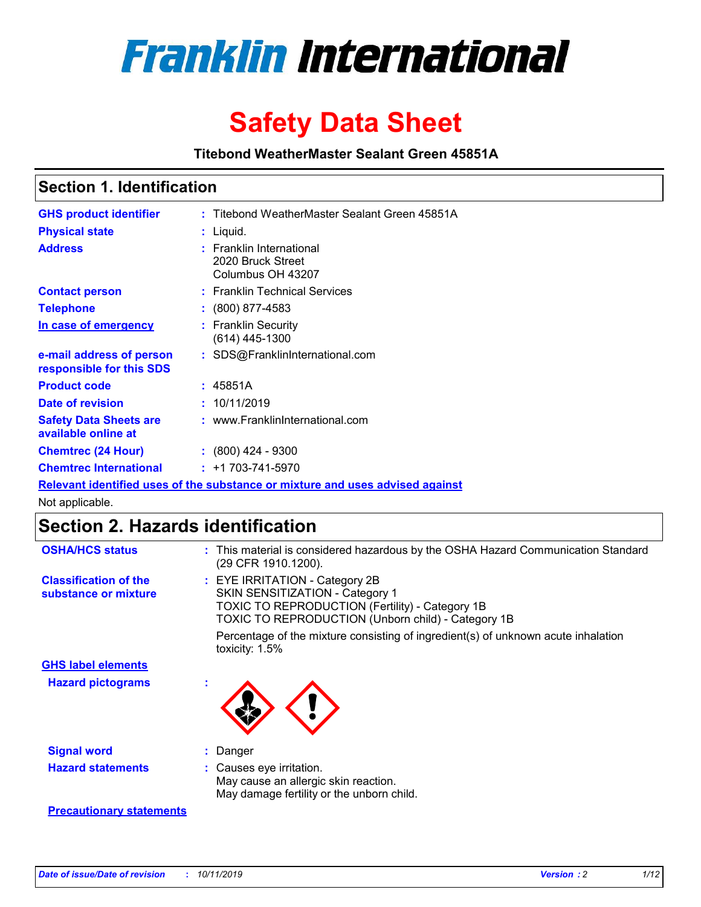

# **Safety Data Sheet**

**Titebond WeatherMaster Sealant Green 45851A**

### **Section 1. Identification**

| <b>GHS product identifier</b>                        | : Titebond WeatherMaster Sealant Green 45851A                                 |
|------------------------------------------------------|-------------------------------------------------------------------------------|
| <b>Physical state</b>                                | : Liquid.                                                                     |
| <b>Address</b>                                       | <b>Franklin International</b><br>2020 Bruck Street<br>Columbus OH 43207       |
| <b>Contact person</b>                                | : Franklin Technical Services                                                 |
| <b>Telephone</b>                                     | $\colon$ (800) 877-4583                                                       |
| In case of emergency                                 | : Franklin Security<br>(614) 445-1300                                         |
| e-mail address of person<br>responsible for this SDS | : SDS@FranklinInternational.com                                               |
| <b>Product code</b>                                  | : 45851A                                                                      |
| Date of revision                                     | : 10/11/2019                                                                  |
| <b>Safety Data Sheets are</b><br>available online at | : www.FranklinInternational.com                                               |
| <b>Chemtrec (24 Hour)</b>                            | $\cdot$ (800) 424 - 9300                                                      |
| <b>Chemtrec International</b>                        | $: +1703 - 741 - 5970$                                                        |
|                                                      | Relevant identified uses of the substance or mixture and uses advised against |

Not applicable.

## **Section 2. Hazards identification**

| <b>OSHA/HCS status</b>                               | : This material is considered hazardous by the OSHA Hazard Communication Standard<br>(29 CFR 1910.1200).                                                                                 |
|------------------------------------------------------|------------------------------------------------------------------------------------------------------------------------------------------------------------------------------------------|
| <b>Classification of the</b><br>substance or mixture | : EYE IRRITATION - Category 2B<br>SKIN SENSITIZATION - Category 1<br><b>TOXIC TO REPRODUCTION (Fertility) - Category 1B</b><br><b>TOXIC TO REPRODUCTION (Unborn child) - Category 1B</b> |
|                                                      | Percentage of the mixture consisting of ingredient(s) of unknown acute inhalation<br>toxicity: $1.5\%$                                                                                   |
| <b>GHS label elements</b>                            |                                                                                                                                                                                          |
| <b>Hazard pictograms</b>                             |                                                                                                                                                                                          |
| <b>Signal word</b>                                   | : Danger                                                                                                                                                                                 |
| <b>Hazard statements</b>                             | : Causes eye irritation.<br>May cause an allergic skin reaction.<br>May damage fertility or the unborn child.                                                                            |
| <b>Precautionary statements</b>                      |                                                                                                                                                                                          |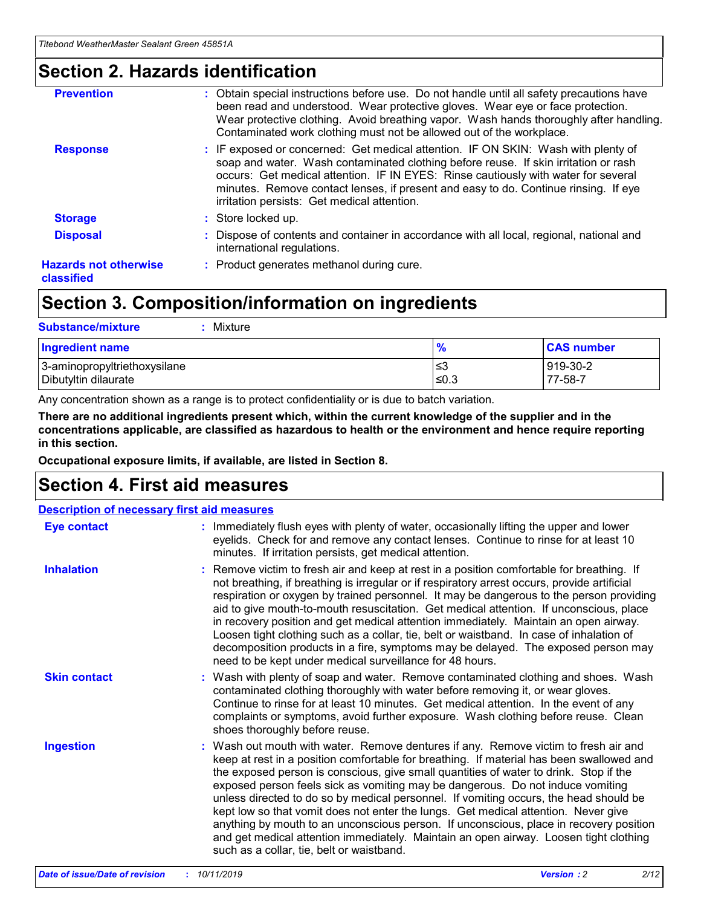### **Section 2. Hazards identification**

| <b>Prevention</b>                          | : Obtain special instructions before use. Do not handle until all safety precautions have<br>been read and understood. Wear protective gloves. Wear eye or face protection.<br>Wear protective clothing. Avoid breathing vapor. Wash hands thoroughly after handling.<br>Contaminated work clothing must not be allowed out of the workplace.                                                        |
|--------------------------------------------|------------------------------------------------------------------------------------------------------------------------------------------------------------------------------------------------------------------------------------------------------------------------------------------------------------------------------------------------------------------------------------------------------|
| <b>Response</b>                            | : IF exposed or concerned: Get medical attention. IF ON SKIN: Wash with plenty of<br>soap and water. Wash contaminated clothing before reuse. If skin irritation or rash<br>occurs: Get medical attention. IF IN EYES: Rinse cautiously with water for several<br>minutes. Remove contact lenses, if present and easy to do. Continue rinsing. If eye<br>irritation persists: Get medical attention. |
| <b>Storage</b>                             | : Store locked up.                                                                                                                                                                                                                                                                                                                                                                                   |
| <b>Disposal</b>                            | : Dispose of contents and container in accordance with all local, regional, national and<br>international regulations.                                                                                                                                                                                                                                                                               |
| <b>Hazards not otherwise</b><br>classified | : Product generates methanol during cure.                                                                                                                                                                                                                                                                                                                                                            |
|                                            |                                                                                                                                                                                                                                                                                                                                                                                                      |

### **Section 3. Composition/information on ingredients**

| <b>Substance/mixture</b><br>Mixture                  |               |                     |
|------------------------------------------------------|---------------|---------------------|
| <b>Ingredient name</b>                               | $\frac{9}{6}$ | <b>CAS number</b>   |
| 3-aminopropyltriethoxysilane<br>Dibutyltin dilaurate | ≤3<br>≤0.3    | 919-30-2<br>77-58-7 |

Any concentration shown as a range is to protect confidentiality or is due to batch variation.

**There are no additional ingredients present which, within the current knowledge of the supplier and in the concentrations applicable, are classified as hazardous to health or the environment and hence require reporting in this section.**

**Occupational exposure limits, if available, are listed in Section 8.**

### **Section 4. First aid measures**

| <b>Description of necessary first aid measures</b> |                                                                                                                                                                                                                                                                                                                                                                                                                                                                                                                                                                                                                                                                                                                                                                           |
|----------------------------------------------------|---------------------------------------------------------------------------------------------------------------------------------------------------------------------------------------------------------------------------------------------------------------------------------------------------------------------------------------------------------------------------------------------------------------------------------------------------------------------------------------------------------------------------------------------------------------------------------------------------------------------------------------------------------------------------------------------------------------------------------------------------------------------------|
| <b>Eye contact</b>                                 | : Immediately flush eyes with plenty of water, occasionally lifting the upper and lower<br>eyelids. Check for and remove any contact lenses. Continue to rinse for at least 10<br>minutes. If irritation persists, get medical attention.                                                                                                                                                                                                                                                                                                                                                                                                                                                                                                                                 |
| <b>Inhalation</b>                                  | : Remove victim to fresh air and keep at rest in a position comfortable for breathing. If<br>not breathing, if breathing is irregular or if respiratory arrest occurs, provide artificial<br>respiration or oxygen by trained personnel. It may be dangerous to the person providing<br>aid to give mouth-to-mouth resuscitation. Get medical attention. If unconscious, place<br>in recovery position and get medical attention immediately. Maintain an open airway.<br>Loosen tight clothing such as a collar, tie, belt or waistband. In case of inhalation of<br>decomposition products in a fire, symptoms may be delayed. The exposed person may<br>need to be kept under medical surveillance for 48 hours.                                                       |
| <b>Skin contact</b>                                | : Wash with plenty of soap and water. Remove contaminated clothing and shoes. Wash<br>contaminated clothing thoroughly with water before removing it, or wear gloves.<br>Continue to rinse for at least 10 minutes. Get medical attention. In the event of any<br>complaints or symptoms, avoid further exposure. Wash clothing before reuse. Clean<br>shoes thoroughly before reuse.                                                                                                                                                                                                                                                                                                                                                                                     |
| <b>Ingestion</b>                                   | : Wash out mouth with water. Remove dentures if any. Remove victim to fresh air and<br>keep at rest in a position comfortable for breathing. If material has been swallowed and<br>the exposed person is conscious, give small quantities of water to drink. Stop if the<br>exposed person feels sick as vomiting may be dangerous. Do not induce vomiting<br>unless directed to do so by medical personnel. If vomiting occurs, the head should be<br>kept low so that vomit does not enter the lungs. Get medical attention. Never give<br>anything by mouth to an unconscious person. If unconscious, place in recovery position<br>and get medical attention immediately. Maintain an open airway. Loosen tight clothing<br>such as a collar, tie, belt or waistband. |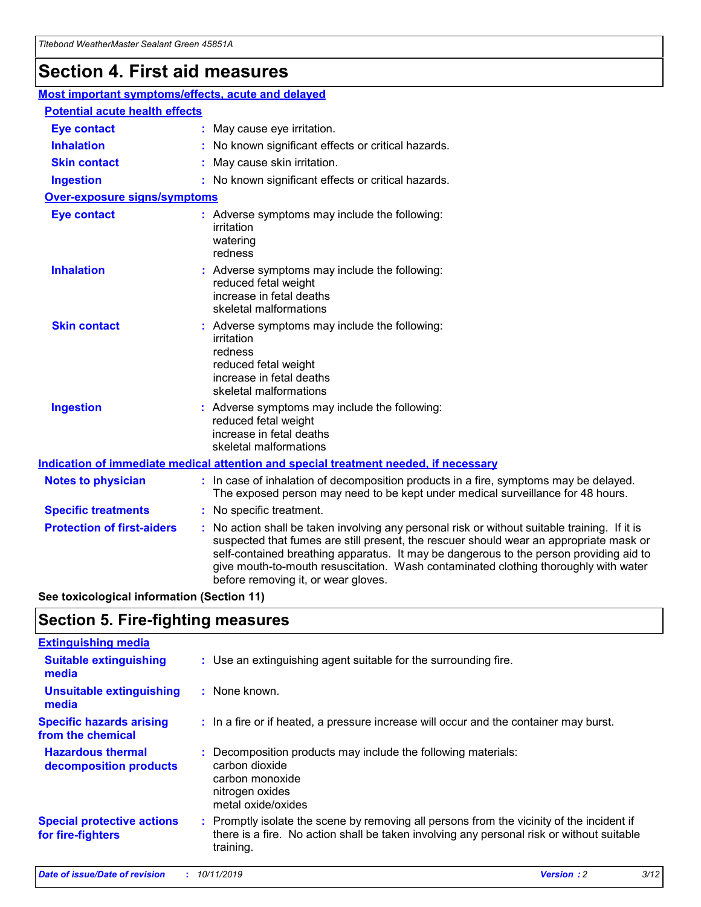## **Section 4. First aid measures**

| Most important symptoms/effects, acute and delayed |  |                                                                                                                                                                                                                                                                                                                                                                                                                 |
|----------------------------------------------------|--|-----------------------------------------------------------------------------------------------------------------------------------------------------------------------------------------------------------------------------------------------------------------------------------------------------------------------------------------------------------------------------------------------------------------|
| <b>Potential acute health effects</b>              |  |                                                                                                                                                                                                                                                                                                                                                                                                                 |
| <b>Eye contact</b>                                 |  | : May cause eye irritation.                                                                                                                                                                                                                                                                                                                                                                                     |
| <b>Inhalation</b>                                  |  | : No known significant effects or critical hazards.                                                                                                                                                                                                                                                                                                                                                             |
| <b>Skin contact</b>                                |  | : May cause skin irritation.                                                                                                                                                                                                                                                                                                                                                                                    |
| <b>Ingestion</b>                                   |  | : No known significant effects or critical hazards.                                                                                                                                                                                                                                                                                                                                                             |
| Over-exposure signs/symptoms                       |  |                                                                                                                                                                                                                                                                                                                                                                                                                 |
| <b>Eye contact</b>                                 |  | : Adverse symptoms may include the following:<br>irritation<br>watering<br>redness                                                                                                                                                                                                                                                                                                                              |
| <b>Inhalation</b>                                  |  | : Adverse symptoms may include the following:<br>reduced fetal weight<br>increase in fetal deaths<br>skeletal malformations                                                                                                                                                                                                                                                                                     |
| <b>Skin contact</b>                                |  | : Adverse symptoms may include the following:<br>irritation<br>redness<br>reduced fetal weight<br>increase in fetal deaths<br>skeletal malformations                                                                                                                                                                                                                                                            |
| <b>Ingestion</b>                                   |  | : Adverse symptoms may include the following:<br>reduced fetal weight<br>increase in fetal deaths<br>skeletal malformations                                                                                                                                                                                                                                                                                     |
|                                                    |  | <b>Indication of immediate medical attention and special treatment needed, if necessary</b>                                                                                                                                                                                                                                                                                                                     |
| <b>Notes to physician</b>                          |  | : In case of inhalation of decomposition products in a fire, symptoms may be delayed.<br>The exposed person may need to be kept under medical surveillance for 48 hours.                                                                                                                                                                                                                                        |
| <b>Specific treatments</b>                         |  | : No specific treatment.                                                                                                                                                                                                                                                                                                                                                                                        |
| <b>Protection of first-aiders</b>                  |  | : No action shall be taken involving any personal risk or without suitable training. If it is<br>suspected that fumes are still present, the rescuer should wear an appropriate mask or<br>self-contained breathing apparatus. It may be dangerous to the person providing aid to<br>give mouth-to-mouth resuscitation. Wash contaminated clothing thoroughly with water<br>before removing it, or wear gloves. |

**See toxicological information (Section 11)**

### **Section 5. Fire-fighting measures**

| <b>Extinguishing media</b>                             |                                                                                                                                                                                                     |
|--------------------------------------------------------|-----------------------------------------------------------------------------------------------------------------------------------------------------------------------------------------------------|
| <b>Suitable extinguishing</b><br>media                 | : Use an extinguishing agent suitable for the surrounding fire.                                                                                                                                     |
| <b>Unsuitable extinguishing</b><br>media               | : None known.                                                                                                                                                                                       |
| <b>Specific hazards arising</b><br>from the chemical   | : In a fire or if heated, a pressure increase will occur and the container may burst.                                                                                                               |
| <b>Hazardous thermal</b><br>decomposition products     | : Decomposition products may include the following materials:<br>carbon dioxide<br>carbon monoxide<br>nitrogen oxides<br>metal oxide/oxides                                                         |
| <b>Special protective actions</b><br>for fire-fighters | : Promptly isolate the scene by removing all persons from the vicinity of the incident if<br>there is a fire. No action shall be taken involving any personal risk or without suitable<br>training. |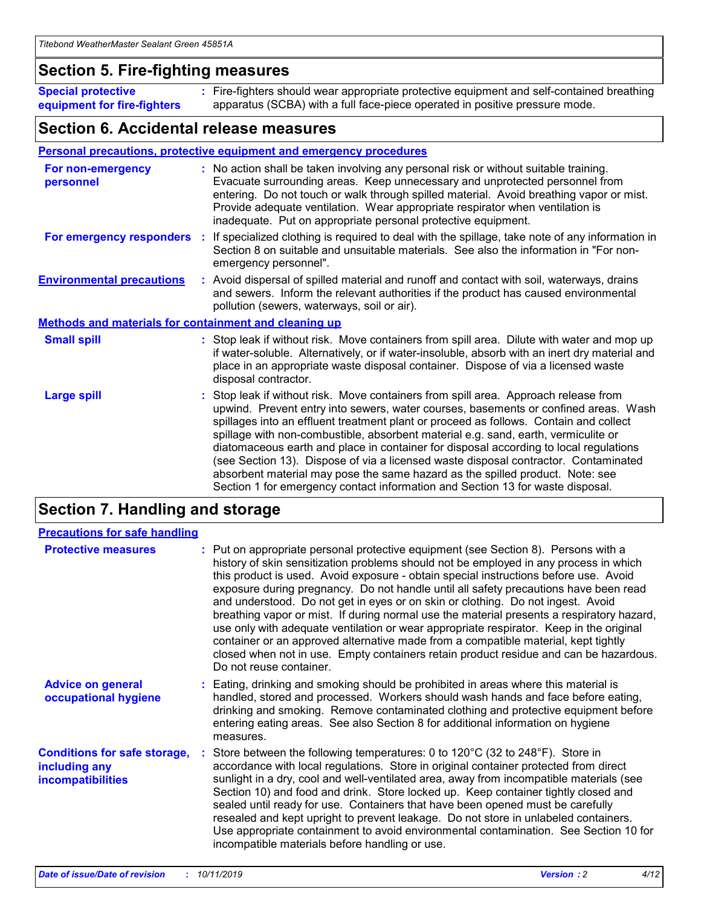### **Section 5. Fire-fighting measures**

**Special protective equipment for fire-fighters** Fire-fighters should wear appropriate protective equipment and self-contained breathing **:** apparatus (SCBA) with a full face-piece operated in positive pressure mode.

### **Section 6. Accidental release measures**

#### **Personal precautions, protective equipment and emergency procedures**

| For non-emergency<br>personnel                               | : No action shall be taken involving any personal risk or without suitable training.<br>Evacuate surrounding areas. Keep unnecessary and unprotected personnel from<br>entering. Do not touch or walk through spilled material. Avoid breathing vapor or mist.<br>Provide adequate ventilation. Wear appropriate respirator when ventilation is<br>inadequate. Put on appropriate personal protective equipment.                                                                                                                                                                                                                                                                                             |
|--------------------------------------------------------------|--------------------------------------------------------------------------------------------------------------------------------------------------------------------------------------------------------------------------------------------------------------------------------------------------------------------------------------------------------------------------------------------------------------------------------------------------------------------------------------------------------------------------------------------------------------------------------------------------------------------------------------------------------------------------------------------------------------|
| For emergency responders                                     | : If specialized clothing is required to deal with the spillage, take note of any information in<br>Section 8 on suitable and unsuitable materials. See also the information in "For non-<br>emergency personnel".                                                                                                                                                                                                                                                                                                                                                                                                                                                                                           |
| <b>Environmental precautions</b>                             | : Avoid dispersal of spilled material and runoff and contact with soil, waterways, drains<br>and sewers. Inform the relevant authorities if the product has caused environmental<br>pollution (sewers, waterways, soil or air).                                                                                                                                                                                                                                                                                                                                                                                                                                                                              |
| <b>Methods and materials for containment and cleaning up</b> |                                                                                                                                                                                                                                                                                                                                                                                                                                                                                                                                                                                                                                                                                                              |
| <b>Small spill</b>                                           | : Stop leak if without risk. Move containers from spill area. Dilute with water and mop up<br>if water-soluble. Alternatively, or if water-insoluble, absorb with an inert dry material and<br>place in an appropriate waste disposal container. Dispose of via a licensed waste<br>disposal contractor.                                                                                                                                                                                                                                                                                                                                                                                                     |
| <b>Large spill</b>                                           | : Stop leak if without risk. Move containers from spill area. Approach release from<br>upwind. Prevent entry into sewers, water courses, basements or confined areas. Wash<br>spillages into an effluent treatment plant or proceed as follows. Contain and collect<br>spillage with non-combustible, absorbent material e.g. sand, earth, vermiculite or<br>diatomaceous earth and place in container for disposal according to local regulations<br>(see Section 13). Dispose of via a licensed waste disposal contractor. Contaminated<br>absorbent material may pose the same hazard as the spilled product. Note: see<br>Section 1 for emergency contact information and Section 13 for waste disposal. |

### **Section 7. Handling and storage**

| <b>Precautions for safe handling</b>                                             |                                                                                                                                                                                                                                                                                                                                                                                                                                                                                                                                                                                                                                                                                                                                                                                                                                                  |
|----------------------------------------------------------------------------------|--------------------------------------------------------------------------------------------------------------------------------------------------------------------------------------------------------------------------------------------------------------------------------------------------------------------------------------------------------------------------------------------------------------------------------------------------------------------------------------------------------------------------------------------------------------------------------------------------------------------------------------------------------------------------------------------------------------------------------------------------------------------------------------------------------------------------------------------------|
| <b>Protective measures</b>                                                       | : Put on appropriate personal protective equipment (see Section 8). Persons with a<br>history of skin sensitization problems should not be employed in any process in which<br>this product is used. Avoid exposure - obtain special instructions before use. Avoid<br>exposure during pregnancy. Do not handle until all safety precautions have been read<br>and understood. Do not get in eyes or on skin or clothing. Do not ingest. Avoid<br>breathing vapor or mist. If during normal use the material presents a respiratory hazard,<br>use only with adequate ventilation or wear appropriate respirator. Keep in the original<br>container or an approved alternative made from a compatible material, kept tightly<br>closed when not in use. Empty containers retain product residue and can be hazardous.<br>Do not reuse container. |
| <b>Advice on general</b><br>occupational hygiene                                 | : Eating, drinking and smoking should be prohibited in areas where this material is<br>handled, stored and processed. Workers should wash hands and face before eating,<br>drinking and smoking. Remove contaminated clothing and protective equipment before<br>entering eating areas. See also Section 8 for additional information on hygiene<br>measures.                                                                                                                                                                                                                                                                                                                                                                                                                                                                                    |
| <b>Conditions for safe storage,</b><br>including any<br><b>incompatibilities</b> | : Store between the following temperatures: 0 to 120 $\degree$ C (32 to 248 $\degree$ F). Store in<br>accordance with local regulations. Store in original container protected from direct<br>sunlight in a dry, cool and well-ventilated area, away from incompatible materials (see<br>Section 10) and food and drink. Store locked up. Keep container tightly closed and<br>sealed until ready for use. Containers that have been opened must be carefully<br>resealed and kept upright to prevent leakage. Do not store in unlabeled containers.<br>Use appropriate containment to avoid environmental contamination. See Section 10 for<br>incompatible materials before handling or use.                                                                                                                                                   |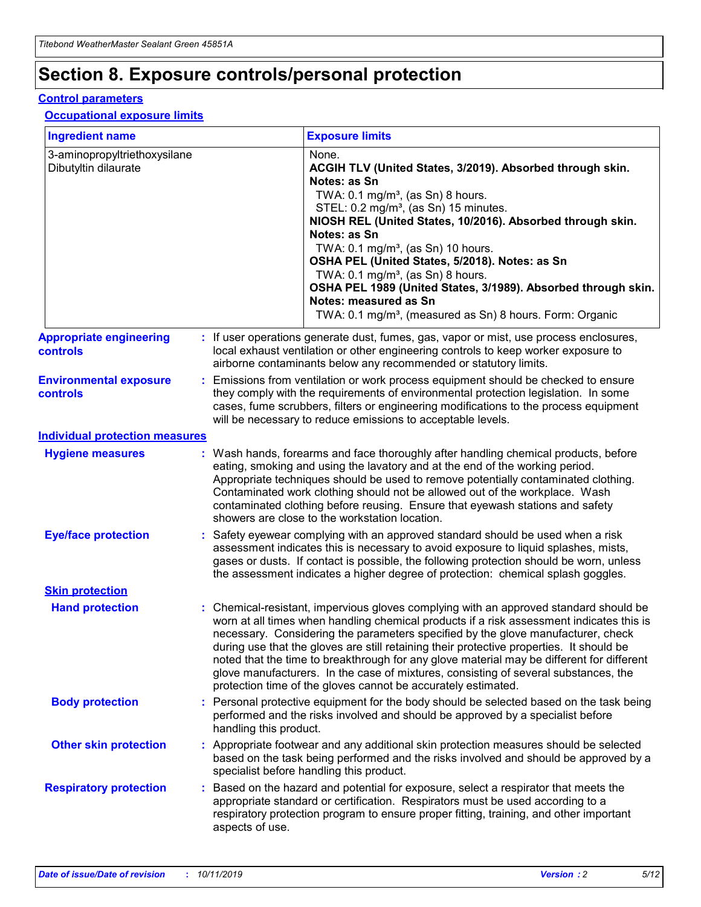## **Section 8. Exposure controls/personal protection**

#### **Control parameters**

#### **Occupational exposure limits**

| <b>Ingredient name</b>                               |    |                        | <b>Exposure limits</b>                                                                                                                                                                                                                                                                                                                                                                                                                                                                                                                                                                                                 |
|------------------------------------------------------|----|------------------------|------------------------------------------------------------------------------------------------------------------------------------------------------------------------------------------------------------------------------------------------------------------------------------------------------------------------------------------------------------------------------------------------------------------------------------------------------------------------------------------------------------------------------------------------------------------------------------------------------------------------|
| 3-aminopropyltriethoxysilane<br>Dibutyltin dilaurate |    |                        | None.<br>ACGIH TLV (United States, 3/2019). Absorbed through skin.<br>Notes: as Sn<br>TWA: $0.1 \text{ mg/m}^3$ , (as Sn) 8 hours.<br>STEL: 0.2 mg/m <sup>3</sup> , (as Sn) 15 minutes.<br>NIOSH REL (United States, 10/2016). Absorbed through skin.<br>Notes: as Sn<br>TWA: 0.1 mg/m <sup>3</sup> , (as Sn) 10 hours.<br>OSHA PEL (United States, 5/2018). Notes: as Sn<br>TWA: 0.1 mg/m <sup>3</sup> , (as Sn) 8 hours.<br>OSHA PEL 1989 (United States, 3/1989). Absorbed through skin.<br>Notes: measured as Sn<br>TWA: 0.1 mg/m <sup>3</sup> , (measured as Sn) 8 hours. Form: Organic                           |
| <b>Appropriate engineering</b><br>controls           |    |                        | : If user operations generate dust, fumes, gas, vapor or mist, use process enclosures,<br>local exhaust ventilation or other engineering controls to keep worker exposure to<br>airborne contaminants below any recommended or statutory limits.                                                                                                                                                                                                                                                                                                                                                                       |
| <b>Environmental exposure</b><br>controls            |    |                        | Emissions from ventilation or work process equipment should be checked to ensure<br>they comply with the requirements of environmental protection legislation. In some<br>cases, fume scrubbers, filters or engineering modifications to the process equipment<br>will be necessary to reduce emissions to acceptable levels.                                                                                                                                                                                                                                                                                          |
| <b>Individual protection measures</b>                |    |                        |                                                                                                                                                                                                                                                                                                                                                                                                                                                                                                                                                                                                                        |
| <b>Hygiene measures</b>                              |    |                        | : Wash hands, forearms and face thoroughly after handling chemical products, before<br>eating, smoking and using the lavatory and at the end of the working period.<br>Appropriate techniques should be used to remove potentially contaminated clothing.<br>Contaminated work clothing should not be allowed out of the workplace. Wash<br>contaminated clothing before reusing. Ensure that eyewash stations and safety<br>showers are close to the workstation location.                                                                                                                                            |
| <b>Eye/face protection</b>                           |    |                        | Safety eyewear complying with an approved standard should be used when a risk<br>assessment indicates this is necessary to avoid exposure to liquid splashes, mists,<br>gases or dusts. If contact is possible, the following protection should be worn, unless<br>the assessment indicates a higher degree of protection: chemical splash goggles.                                                                                                                                                                                                                                                                    |
| <b>Skin protection</b>                               |    |                        |                                                                                                                                                                                                                                                                                                                                                                                                                                                                                                                                                                                                                        |
| <b>Hand protection</b>                               |    |                        | : Chemical-resistant, impervious gloves complying with an approved standard should be<br>worn at all times when handling chemical products if a risk assessment indicates this is<br>necessary. Considering the parameters specified by the glove manufacturer, check<br>during use that the gloves are still retaining their protective properties. It should be<br>noted that the time to breakthrough for any glove material may be different for different<br>glove manufacturers. In the case of mixtures, consisting of several substances, the<br>protection time of the gloves cannot be accurately estimated. |
| <b>Body protection</b>                               |    | handling this product. | Personal protective equipment for the body should be selected based on the task being<br>performed and the risks involved and should be approved by a specialist before                                                                                                                                                                                                                                                                                                                                                                                                                                                |
| <b>Other skin protection</b>                         |    |                        | : Appropriate footwear and any additional skin protection measures should be selected<br>based on the task being performed and the risks involved and should be approved by a<br>specialist before handling this product.                                                                                                                                                                                                                                                                                                                                                                                              |
| <b>Respiratory protection</b>                        | ÷. | aspects of use.        | Based on the hazard and potential for exposure, select a respirator that meets the<br>appropriate standard or certification. Respirators must be used according to a<br>respiratory protection program to ensure proper fitting, training, and other important                                                                                                                                                                                                                                                                                                                                                         |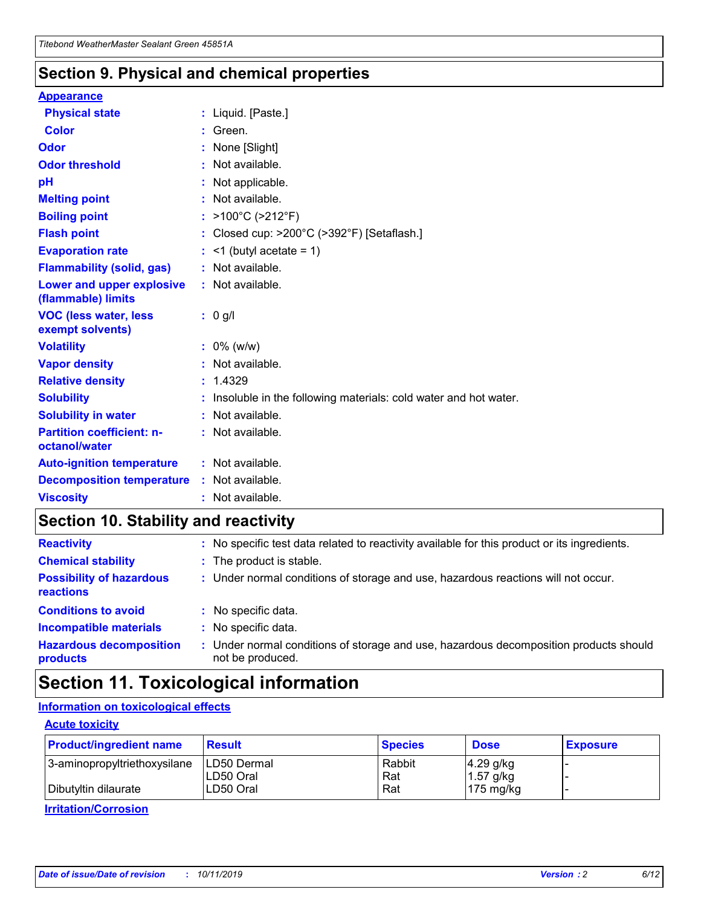### **Section 9. Physical and chemical properties**

#### **Appearance**

| <b>Physical state</b>                             | : Liquid. [Paste.]                                              |
|---------------------------------------------------|-----------------------------------------------------------------|
| Color                                             | Green.                                                          |
| Odor                                              | : None [Slight]                                                 |
| <b>Odor threshold</b>                             | $:$ Not available.                                              |
| рH                                                | : Not applicable.                                               |
| <b>Melting point</b>                              | : Not available.                                                |
| <b>Boiling point</b>                              | : >100°C (>212°F)                                               |
| <b>Flash point</b>                                | : Closed cup: $>200^{\circ}$ C ( $>392^{\circ}$ F) [Setaflash.] |
| <b>Evaporation rate</b>                           | $:$ <1 (butyl acetate = 1)                                      |
| <b>Flammability (solid, gas)</b>                  | : Not available.                                                |
| Lower and upper explosive<br>(flammable) limits   | : Not available.                                                |
| <b>VOC (less water, less</b>                      | $: 0$ g/l                                                       |
| exempt solvents)                                  |                                                                 |
| <b>Volatility</b>                                 | $: 0\%$ (w/w)                                                   |
| <b>Vapor density</b>                              | : Not available.                                                |
| <b>Relative density</b>                           | : 1.4329                                                        |
| <b>Solubility</b>                                 | Insoluble in the following materials: cold water and hot water. |
| <b>Solubility in water</b>                        | : Not available.                                                |
| <b>Partition coefficient: n-</b><br>octanol/water | $:$ Not available.                                              |
| <b>Auto-ignition temperature</b>                  | : Not available.                                                |
| <b>Decomposition temperature</b>                  | : Not available.                                                |

### **Section 10. Stability and reactivity**

| <b>Reactivity</b>                            |    | : No specific test data related to reactivity available for this product or its ingredients.            |
|----------------------------------------------|----|---------------------------------------------------------------------------------------------------------|
| <b>Chemical stability</b>                    |    | : The product is stable.                                                                                |
| <b>Possibility of hazardous</b><br>reactions |    | : Under normal conditions of storage and use, hazardous reactions will not occur.                       |
| <b>Conditions to avoid</b>                   |    | : No specific data.                                                                                     |
| <b>Incompatible materials</b>                | ٠. | No specific data.                                                                                       |
| <b>Hazardous decomposition</b><br>products   | ÷. | Under normal conditions of storage and use, hazardous decomposition products should<br>not be produced. |

### **Section 11. Toxicological information**

### **Information on toxicological effects**

#### **Acute toxicity**

| <b>Product/ingredient name</b> | <b>Result</b>           | <b>Species</b> | <b>Dose</b>                | <b>Exposure</b> |
|--------------------------------|-------------------------|----------------|----------------------------|-----------------|
| 3-aminopropyltriethoxysilane   | <b>ILD50 Dermal</b>     | Rabbit         | 4.29 g/kg                  |                 |
| Dibutyltin dilaurate           | ILD50 Oral<br>LD50 Oral | Rat<br>Rat     | $1.57$ g/kg<br>175 $mg/kg$ |                 |
|                                |                         |                |                            |                 |

**Irritation/Corrosion**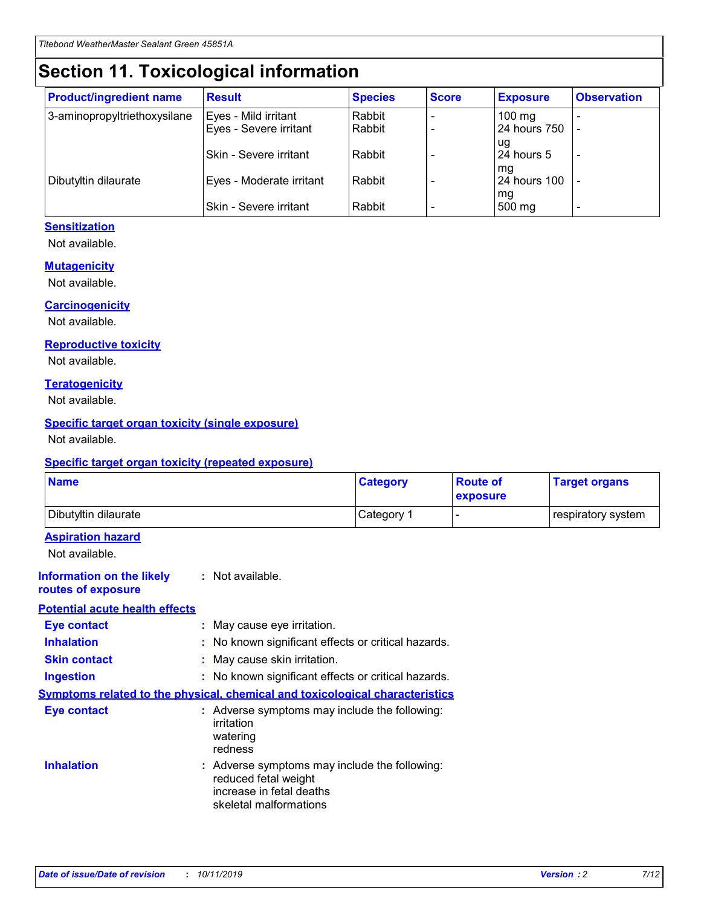## **Section 11. Toxicological information**

| <b>Product/ingredient name</b> | <b>Result</b>            | <b>Species</b> | <b>Score</b> | <b>Exposure</b>           | <b>Observation</b> |
|--------------------------------|--------------------------|----------------|--------------|---------------------------|--------------------|
| 3-aminopropyltriethoxysilane   | Eyes - Mild irritant     | Rabbit         |              | $100$ mg                  |                    |
|                                | Eyes - Severe irritant   | Rabbit         |              | 24 hours 750              |                    |
|                                |                          |                |              | ug                        |                    |
|                                | Skin - Severe irritant   | Rabbit         |              | 24 hours 5                | -                  |
| Dibutyltin dilaurate           | Eyes - Moderate irritant | Rabbit         |              | mq<br><b>24 hours 100</b> |                    |
|                                |                          |                |              | mg                        |                    |
|                                | Skin - Severe irritant   | Rabbit         |              | 500 mg                    |                    |

#### **Sensitization**

Not available.

#### **Mutagenicity**

Not available.

#### **Carcinogenicity**

Not available.

#### **Reproductive toxicity**

Not available.

#### **Teratogenicity**

Not available.

#### **Specific target organ toxicity (single exposure)**

Not available.

#### **Specific target organ toxicity (repeated exposure)**

| <b>Name</b>                                                                  |                                                                                                                             | <b>Category</b> | <b>Route of</b><br>exposure  | <b>Target organs</b> |
|------------------------------------------------------------------------------|-----------------------------------------------------------------------------------------------------------------------------|-----------------|------------------------------|----------------------|
| Dibutyltin dilaurate                                                         |                                                                                                                             | Category 1      | $\qquad \qquad \blacksquare$ | respiratory system   |
| <b>Aspiration hazard</b><br>Not available.                                   |                                                                                                                             |                 |                              |                      |
| <b>Information on the likely</b><br>routes of exposure                       | : Not available.                                                                                                            |                 |                              |                      |
| <b>Potential acute health effects</b>                                        |                                                                                                                             |                 |                              |                      |
| <b>Eye contact</b>                                                           | : May cause eye irritation.                                                                                                 |                 |                              |                      |
| <b>Inhalation</b>                                                            | : No known significant effects or critical hazards.                                                                         |                 |                              |                      |
| <b>Skin contact</b>                                                          | : May cause skin irritation.                                                                                                |                 |                              |                      |
| <b>Ingestion</b>                                                             | : No known significant effects or critical hazards.                                                                         |                 |                              |                      |
| Symptoms related to the physical, chemical and toxicological characteristics |                                                                                                                             |                 |                              |                      |
| <b>Eye contact</b>                                                           | : Adverse symptoms may include the following:<br>irritation<br>watering<br>redness                                          |                 |                              |                      |
| <b>Inhalation</b>                                                            | : Adverse symptoms may include the following:<br>reduced fetal weight<br>increase in fetal deaths<br>skeletal malformations |                 |                              |                      |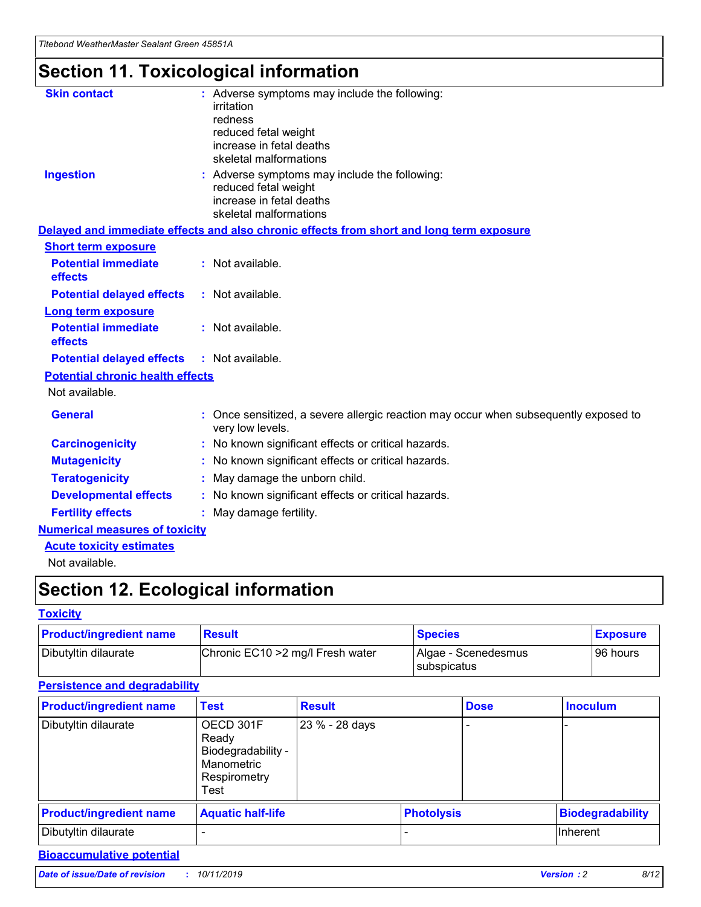## **Section 11. Toxicological information**

| <b>Skin contact</b>                     | : Adverse symptoms may include the following:<br>irritation<br>redness<br>reduced fetal weight<br>increase in fetal deaths<br>skeletal malformations |
|-----------------------------------------|------------------------------------------------------------------------------------------------------------------------------------------------------|
| <b>Ingestion</b>                        | : Adverse symptoms may include the following:<br>reduced fetal weight<br>increase in fetal deaths<br>skeletal malformations                          |
|                                         | Delayed and immediate effects and also chronic effects from short and long term exposure                                                             |
| <b>Short term exposure</b>              |                                                                                                                                                      |
| <b>Potential immediate</b><br>effects   | : Not available.                                                                                                                                     |
| <b>Potential delayed effects</b>        | : Not available.                                                                                                                                     |
| <b>Long term exposure</b>               |                                                                                                                                                      |
| <b>Potential immediate</b><br>effects   | : Not available.                                                                                                                                     |
| <b>Potential delayed effects</b>        | : Not available.                                                                                                                                     |
| <b>Potential chronic health effects</b> |                                                                                                                                                      |
| Not available.                          |                                                                                                                                                      |
| <b>General</b>                          | : Once sensitized, a severe allergic reaction may occur when subsequently exposed to<br>very low levels.                                             |
| <b>Carcinogenicity</b>                  | : No known significant effects or critical hazards.                                                                                                  |
| <b>Mutagenicity</b>                     | No known significant effects or critical hazards.                                                                                                    |
| <b>Teratogenicity</b>                   | May damage the unborn child.                                                                                                                         |
| <b>Developmental effects</b>            | No known significant effects or critical hazards.                                                                                                    |
| <b>Fertility effects</b>                | : May damage fertility.                                                                                                                              |
| <b>Numerical measures of toxicity</b>   |                                                                                                                                                      |
| <b>Acute toxicity estimates</b>         |                                                                                                                                                      |
|                                         |                                                                                                                                                      |

Not available.

## **Section 12. Ecological information**

#### **Toxicity**

| <b>Product/ingredient name</b> | <b>Result</b>                     | <b>Species</b>                       | <b>Exposure</b> |
|--------------------------------|-----------------------------------|--------------------------------------|-----------------|
| Dibutyltin dilaurate           | Chronic EC10 > 2 mg/l Fresh water | Algae - Scenedesmus<br>I subspicatus | l 96 hours      |

### **Persistence and degradability**

| <b>Product/ingredient name</b> | <b>Test</b>                                                                    | <b>Result</b>  |                   | <b>Dose</b> | <b>Inoculum</b>         |
|--------------------------------|--------------------------------------------------------------------------------|----------------|-------------------|-------------|-------------------------|
| Dibutyltin dilaurate           | OECD 301F<br>Ready<br>Biodegradability -<br>Manometric<br>Respirometry<br>Test | 23 % - 28 days |                   |             |                         |
| <b>Product/ingredient name</b> | <b>Aquatic half-life</b>                                                       |                | <b>Photolysis</b> |             | <b>Biodegradability</b> |
| Dibutyltin dilaurate           |                                                                                |                |                   |             | Inherent                |

### **Bioaccumulative potential**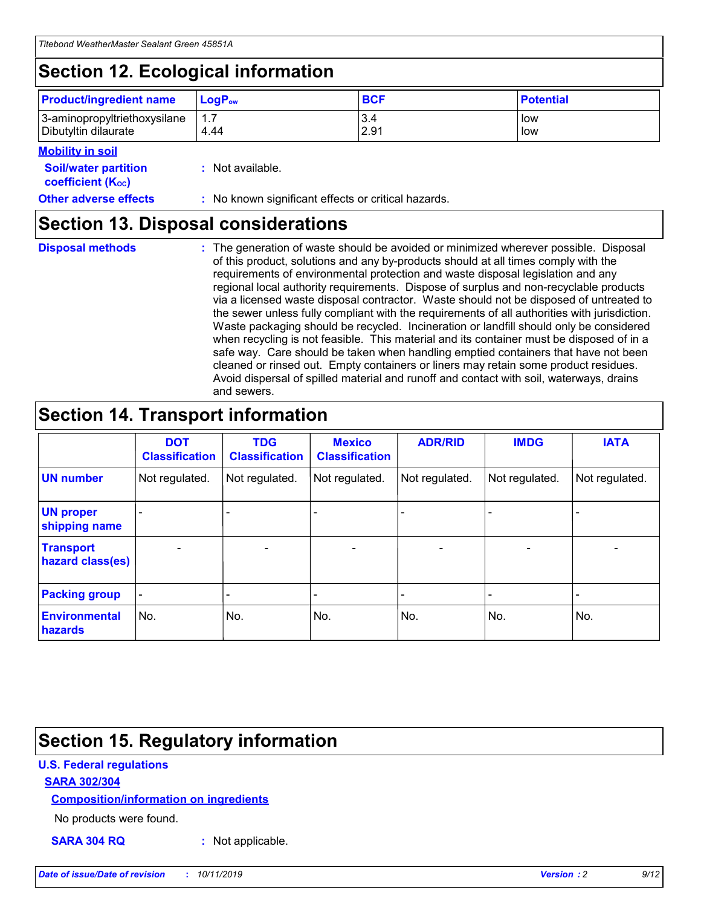## **Section 12. Ecological information**

| <b>Product/ingredient name</b> | $LoaPow$ | <b>BCF</b> | <b>Potential</b> |
|--------------------------------|----------|------------|------------------|
| 3-aminopropyltriethoxysilane   | 1.7      | 3.4        | low              |
| Dibutyltin dilaurate           | 4.44     | 2.91       | low              |

#### **Mobility in soil**

| <i></i>                                                       |                                                     |
|---------------------------------------------------------------|-----------------------------------------------------|
| <b>Soil/water partition</b><br>coefficient (K <sub>oc</sub> ) | : Not available.                                    |
| <b>Other adverse effects</b>                                  | : No known significant effects or critical hazards. |

### **Section 13. Disposal considerations**

**Disposal methods :**

The generation of waste should be avoided or minimized wherever possible. Disposal of this product, solutions and any by-products should at all times comply with the requirements of environmental protection and waste disposal legislation and any regional local authority requirements. Dispose of surplus and non-recyclable products via a licensed waste disposal contractor. Waste should not be disposed of untreated to the sewer unless fully compliant with the requirements of all authorities with jurisdiction. Waste packaging should be recycled. Incineration or landfill should only be considered when recycling is not feasible. This material and its container must be disposed of in a safe way. Care should be taken when handling emptied containers that have not been cleaned or rinsed out. Empty containers or liners may retain some product residues. Avoid dispersal of spilled material and runoff and contact with soil, waterways, drains and sewers.

## **Section 14. Transport information**

|                                      | <b>DOT</b><br><b>Classification</b> | <b>TDG</b><br><b>Classification</b> | <b>Mexico</b><br><b>Classification</b> | <b>ADR/RID</b> | <b>IMDG</b>              | <b>IATA</b>              |
|--------------------------------------|-------------------------------------|-------------------------------------|----------------------------------------|----------------|--------------------------|--------------------------|
| <b>UN number</b>                     | Not regulated.                      | Not regulated.                      | Not regulated.                         | Not regulated. | Not regulated.           | Not regulated.           |
| <b>UN proper</b><br>shipping name    | $\blacksquare$                      |                                     |                                        |                |                          |                          |
| <b>Transport</b><br>hazard class(es) | $\blacksquare$                      | $\overline{\phantom{a}}$            | $\blacksquare$                         | $\blacksquare$ | $\overline{\phantom{a}}$ | $\overline{\phantom{0}}$ |
| <b>Packing group</b>                 | $\overline{\phantom{a}}$            | $\overline{\phantom{0}}$            | $\overline{\phantom{a}}$               | -              | $\overline{\phantom{0}}$ | $\overline{\phantom{a}}$ |
| <b>Environmental</b><br>hazards      | No.                                 | No.                                 | No.                                    | No.            | No.                      | No.                      |

## **Section 15. Regulatory information**

#### **U.S. Federal regulations**

#### **SARA 302/304**

#### **Composition/information on ingredients**

No products were found.

**SARA 304 RQ :** Not applicable.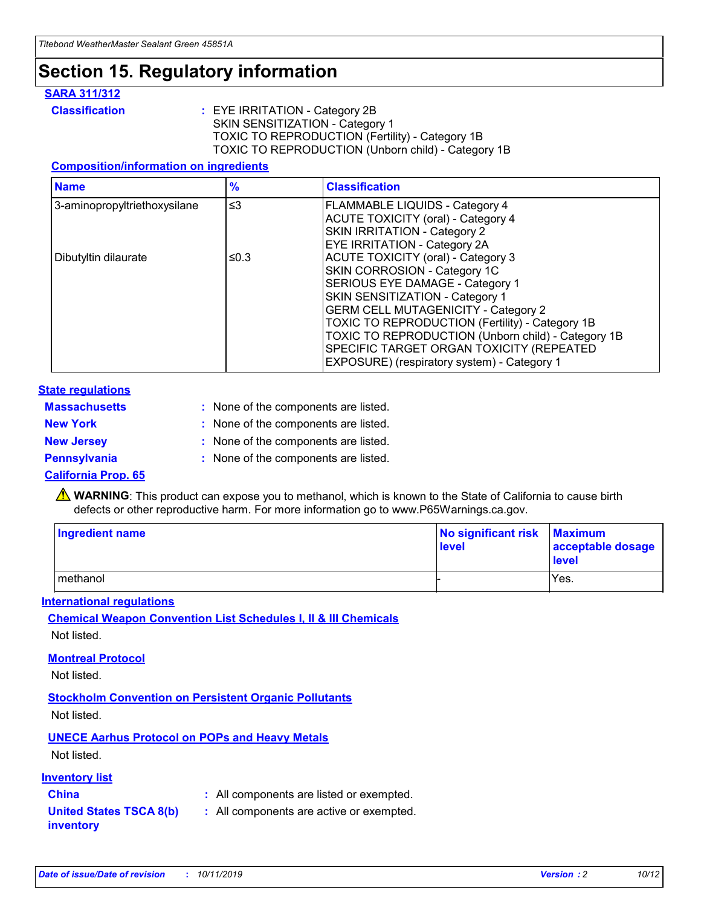### **Section 15. Regulatory information**

#### **SARA 311/312**

**Classification :** EYE IRRITATION - Category 2B SKIN SENSITIZATION - Category 1 TOXIC TO REPRODUCTION (Fertility) - Category 1B TOXIC TO REPRODUCTION (Unborn child) - Category 1B

#### **Composition/information on ingredients**

| <b>Name</b>                  | $\frac{9}{6}$ | <b>Classification</b>                                                                                            |
|------------------------------|---------------|------------------------------------------------------------------------------------------------------------------|
| 3-aminopropyltriethoxysilane | $\leq$ 3      | <b>FLAMMABLE LIQUIDS - Category 4</b><br><b>ACUTE TOXICITY (oral) - Category 4</b>                               |
|                              |               | SKIN IRRITATION - Category 2<br>EYE IRRITATION - Category 2A                                                     |
| Dibutyltin dilaurate         | ≤0.3          | ACUTE TOXICITY (oral) - Category 3<br>SKIN CORROSION - Category 1C                                               |
|                              |               | SERIOUS EYE DAMAGE - Category 1<br>SKIN SENSITIZATION - Category 1<br><b>GERM CELL MUTAGENICITY - Category 2</b> |
|                              |               | TOXIC TO REPRODUCTION (Fertility) - Category 1B<br>TOXIC TO REPRODUCTION (Unborn child) - Category 1B            |
|                              |               | SPECIFIC TARGET ORGAN TOXICITY (REPEATED<br>EXPOSURE) (respiratory system) - Category 1                          |

#### **State regulations**

| <b>Massachusetts</b> | : None of the components are listed. |
|----------------------|--------------------------------------|
| <b>New York</b>      | : None of the components are listed. |
| <b>New Jersey</b>    | : None of the components are listed. |
| <b>Pennsylvania</b>  | : None of the components are listed. |

#### **California Prop. 65**

**A** WARNING: This product can expose you to methanol, which is known to the State of California to cause birth defects or other reproductive harm. For more information go to www.P65Warnings.ca.gov.

| <b>Ingredient name</b> | No significant risk Maximum<br>level | acceptable dosage<br>level |
|------------------------|--------------------------------------|----------------------------|
| methanol               |                                      | Yes.                       |

#### **International regulations**

**Chemical Weapon Convention List Schedules I, II & III Chemicals** Not listed.

#### **Montreal Protocol**

Not listed.

**Stockholm Convention on Persistent Organic Pollutants**

Not listed.

### **UNECE Aarhus Protocol on POPs and Heavy Metals**

Not listed.

#### **Inventory list**

### **China :** All components are listed or exempted.

**United States TSCA 8(b) inventory :** All components are active or exempted.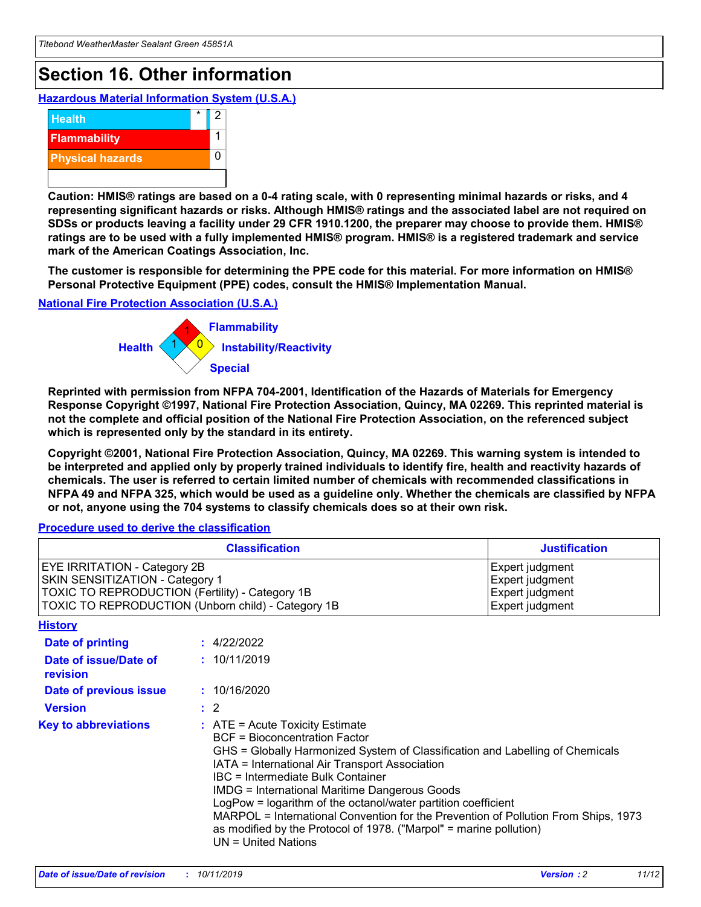## **Section 16. Other information**

**Hazardous Material Information System (U.S.A.)**



**Caution: HMIS® ratings are based on a 0-4 rating scale, with 0 representing minimal hazards or risks, and 4 representing significant hazards or risks. Although HMIS® ratings and the associated label are not required on SDSs or products leaving a facility under 29 CFR 1910.1200, the preparer may choose to provide them. HMIS® ratings are to be used with a fully implemented HMIS® program. HMIS® is a registered trademark and service mark of the American Coatings Association, Inc.**

**The customer is responsible for determining the PPE code for this material. For more information on HMIS® Personal Protective Equipment (PPE) codes, consult the HMIS® Implementation Manual.**

#### **National Fire Protection Association (U.S.A.)**



**Reprinted with permission from NFPA 704-2001, Identification of the Hazards of Materials for Emergency Response Copyright ©1997, National Fire Protection Association, Quincy, MA 02269. This reprinted material is not the complete and official position of the National Fire Protection Association, on the referenced subject which is represented only by the standard in its entirety.**

**Copyright ©2001, National Fire Protection Association, Quincy, MA 02269. This warning system is intended to be interpreted and applied only by properly trained individuals to identify fire, health and reactivity hazards of chemicals. The user is referred to certain limited number of chemicals with recommended classifications in NFPA 49 and NFPA 325, which would be used as a guideline only. Whether the chemicals are classified by NFPA or not, anyone using the 704 systems to classify chemicals does so at their own risk.**

#### **Procedure used to derive the classification**

| <b>Classification</b>                                                                                                                                                    |                                                                                                                                                                                                                                                                                                                                                                                                                                                                                                                                                               | <b>Justification</b>                                                     |
|--------------------------------------------------------------------------------------------------------------------------------------------------------------------------|---------------------------------------------------------------------------------------------------------------------------------------------------------------------------------------------------------------------------------------------------------------------------------------------------------------------------------------------------------------------------------------------------------------------------------------------------------------------------------------------------------------------------------------------------------------|--------------------------------------------------------------------------|
| EYE IRRITATION - Category 2B<br>SKIN SENSITIZATION - Category 1<br>TOXIC TO REPRODUCTION (Fertility) - Category 1B<br>TOXIC TO REPRODUCTION (Unborn child) - Category 1B |                                                                                                                                                                                                                                                                                                                                                                                                                                                                                                                                                               | Expert judgment<br>Expert judgment<br>Expert judgment<br>Expert judgment |
| <b>History</b>                                                                                                                                                           |                                                                                                                                                                                                                                                                                                                                                                                                                                                                                                                                                               |                                                                          |
| <b>Date of printing</b>                                                                                                                                                  | : 4/22/2022                                                                                                                                                                                                                                                                                                                                                                                                                                                                                                                                                   |                                                                          |
| Date of issue/Date of<br>revision                                                                                                                                        | : 10/11/2019                                                                                                                                                                                                                                                                                                                                                                                                                                                                                                                                                  |                                                                          |
| Date of previous issue                                                                                                                                                   | : 10/16/2020                                                                                                                                                                                                                                                                                                                                                                                                                                                                                                                                                  |                                                                          |
| <b>Version</b>                                                                                                                                                           | $\therefore$ 2                                                                                                                                                                                                                                                                                                                                                                                                                                                                                                                                                |                                                                          |
| <b>Key to abbreviations</b>                                                                                                                                              | $:$ ATE = Acute Toxicity Estimate<br><b>BCF</b> = Bioconcentration Factor<br>GHS = Globally Harmonized System of Classification and Labelling of Chemicals<br>IATA = International Air Transport Association<br>IBC = Intermediate Bulk Container<br><b>IMDG = International Maritime Dangerous Goods</b><br>LogPow = logarithm of the octanol/water partition coefficient<br>MARPOL = International Convention for the Prevention of Pollution From Ships, 1973<br>as modified by the Protocol of 1978. ("Marpol" = marine pollution)<br>UN = United Nations |                                                                          |